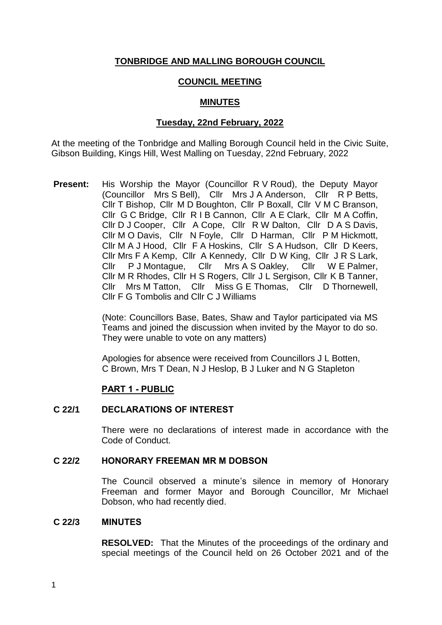# **TONBRIDGE AND MALLING BOROUGH COUNCIL**

# **COUNCIL MEETING**

# **MINUTES**

# **Tuesday, 22nd February, 2022**

At the meeting of the Tonbridge and Malling Borough Council held in the Civic Suite, Gibson Building, Kings Hill, West Malling on Tuesday, 22nd February, 2022

**Present:** His Worship the Mayor (Councillor R V Roud), the Deputy Mayor (Councillor Mrs S Bell), Cllr Mrs J A Anderson, Cllr R P Betts, Cllr T Bishop, Cllr M D Boughton, Cllr P Boxall, Cllr V M C Branson, Cllr G C Bridge, Cllr R I B Cannon, Cllr A E Clark, Cllr M A Coffin, Cllr D J Cooper, Cllr A Cope, Cllr R W Dalton, Cllr D A S Davis, Cllr M O Davis, Cllr N Foyle, Cllr D Harman, Cllr P M Hickmott, Cllr M A J Hood, Cllr F A Hoskins, Cllr S A Hudson, Cllr D Keers, Cllr Mrs F A Kemp, Cllr A Kennedy, Cllr D W King, Cllr J R S Lark, Cllr P J Montague, Cllr Mrs A S Oakley, Cllr W E Palmer, Cllr M R Rhodes, Cllr H S Rogers, Cllr J L Sergison, Cllr K B Tanner, Cllr Mrs M Tatton, Cllr Miss G E Thomas, Cllr D Thornewell, Cllr F G Tombolis and Cllr C J Williams

> (Note: Councillors Base, Bates, Shaw and Taylor participated via MS Teams and joined the discussion when invited by the Mayor to do so. They were unable to vote on any matters)

Apologies for absence were received from Councillors J L Botten, C Brown, Mrs T Dean, N J Heslop, B J Luker and N G Stapleton

# **PART 1 - PUBLIC**

# **C 22/1 DECLARATIONS OF INTEREST**

There were no declarations of interest made in accordance with the Code of Conduct.

#### **C 22/2 HONORARY FREEMAN MR M DOBSON**

The Council observed a minute's silence in memory of Honorary Freeman and former Mayor and Borough Councillor, Mr Michael Dobson, who had recently died.

#### **C 22/3 MINUTES**

**RESOLVED:** That the Minutes of the proceedings of the ordinary and special meetings of the Council held on 26 October 2021 and of the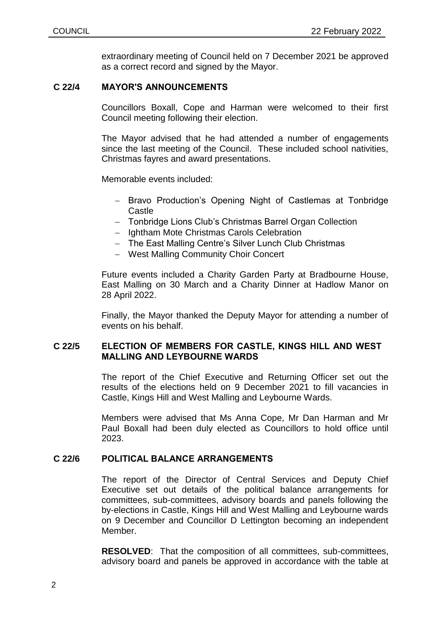extraordinary meeting of Council held on 7 December 2021 be approved as a correct record and signed by the Mayor.

# **C 22/4 MAYOR'S ANNOUNCEMENTS**

Councillors Boxall, Cope and Harman were welcomed to their first Council meeting following their election.

The Mayor advised that he had attended a number of engagements since the last meeting of the Council. These included school nativities, Christmas fayres and award presentations.

Memorable events included:

- Bravo Production's Opening Night of Castlemas at Tonbridge Castle
- Tonbridge Lions Club's Christmas Barrel Organ Collection
- Ightham Mote Christmas Carols Celebration
- The East Malling Centre's Silver Lunch Club Christmas
- West Malling Community Choir Concert

Future events included a Charity Garden Party at Bradbourne House, East Malling on 30 March and a Charity Dinner at Hadlow Manor on 28 April 2022.

Finally, the Mayor thanked the Deputy Mayor for attending a number of events on his behalf.

# **C 22/5 ELECTION OF MEMBERS FOR CASTLE, KINGS HILL AND WEST MALLING AND LEYBOURNE WARDS**

The report of the Chief Executive and Returning Officer set out the results of the elections held on 9 December 2021 to fill vacancies in Castle, Kings Hill and West Malling and Leybourne Wards.

Members were advised that Ms Anna Cope, Mr Dan Harman and Mr Paul Boxall had been duly elected as Councillors to hold office until 2023.

# **C 22/6 POLITICAL BALANCE ARRANGEMENTS**

The report of the Director of Central Services and Deputy Chief Executive set out details of the political balance arrangements for committees, sub-committees, advisory boards and panels following the by-elections in Castle, Kings Hill and West Malling and Leybourne wards on 9 December and Councillor D Lettington becoming an independent Member.

**RESOLVED**: That the composition of all committees, sub-committees, advisory board and panels be approved in accordance with the table at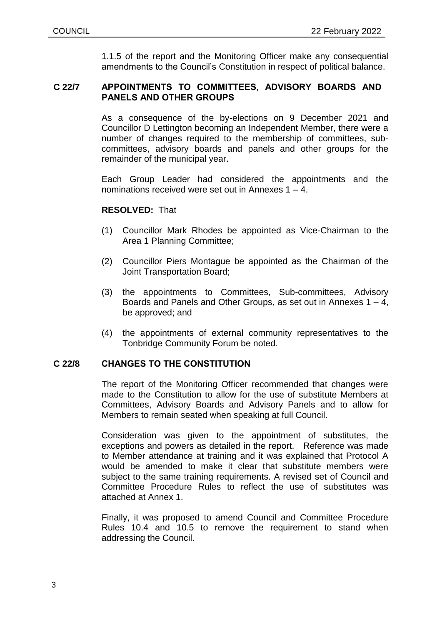1.1.5 of the report and the Monitoring Officer make any consequential amendments to the Council's Constitution in respect of political balance.

# **C 22/7 APPOINTMENTS TO COMMITTEES, ADVISORY BOARDS AND PANELS AND OTHER GROUPS**

As a consequence of the by-elections on 9 December 2021 and Councillor D Lettington becoming an Independent Member, there were a number of changes required to the membership of committees, subcommittees, advisory boards and panels and other groups for the remainder of the municipal year.

Each Group Leader had considered the appointments and the nominations received were set out in Annexes 1 – 4.

### **RESOLVED:** That

- (1) Councillor Mark Rhodes be appointed as Vice-Chairman to the Area 1 Planning Committee;
- (2) Councillor Piers Montague be appointed as the Chairman of the Joint Transportation Board;
- (3) the appointments to Committees, Sub-committees, Advisory Boards and Panels and Other Groups, as set out in Annexes 1 – 4, be approved; and
- (4) the appointments of external community representatives to the Tonbridge Community Forum be noted.

# **C 22/8 CHANGES TO THE CONSTITUTION**

The report of the Monitoring Officer recommended that changes were made to the Constitution to allow for the use of substitute Members at Committees, Advisory Boards and Advisory Panels and to allow for Members to remain seated when speaking at full Council.

Consideration was given to the appointment of substitutes, the exceptions and powers as detailed in the report. Reference was made to Member attendance at training and it was explained that Protocol A would be amended to make it clear that substitute members were subject to the same training requirements. A revised set of Council and Committee Procedure Rules to reflect the use of substitutes was attached at Annex 1.

Finally, it was proposed to amend Council and Committee Procedure Rules 10.4 and 10.5 to remove the requirement to stand when addressing the Council.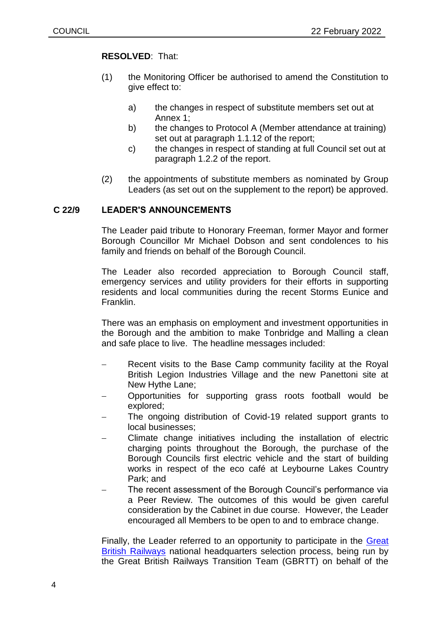# **RESOLVED**: That:

- (1) the Monitoring Officer be authorised to amend the Constitution to give effect to:
	- a) the changes in respect of substitute members set out at Annex 1;
	- b) the changes to Protocol A (Member attendance at training) set out at paragraph 1.1.12 of the report;
	- c) the changes in respect of standing at full Council set out at paragraph 1.2.2 of the report.
- (2) the appointments of substitute members as nominated by Group Leaders (as set out on the supplement to the report) be approved.

# **C 22/9 LEADER'S ANNOUNCEMENTS**

The Leader paid tribute to Honorary Freeman, former Mayor and former Borough Councillor Mr Michael Dobson and sent condolences to his family and friends on behalf of the Borough Council.

The Leader also recorded appreciation to Borough Council staff, emergency services and utility providers for their efforts in supporting residents and local communities during the recent Storms Eunice and Franklin.

There was an emphasis on employment and investment opportunities in the Borough and the ambition to make Tonbridge and Malling a clean and safe place to live. The headline messages included:

- Recent visits to the Base Camp community facility at the Royal British Legion Industries Village and the new Panettoni site at New Hythe Lane;
- Opportunities for supporting grass roots football would be explored;
- The ongoing distribution of Covid-19 related support grants to local businesses;
- Climate change initiatives including the installation of electric charging points throughout the Borough, the purchase of the Borough Councils first electric vehicle and the start of building works in respect of the eco café at Leybourne Lakes Country Park; and
- The recent assessment of the Borough Council's performance via a Peer Review. The outcomes of this would be given careful consideration by the Cabinet in due course. However, the Leader encouraged all Members to be open to and to embrace change.

Finally, the Leader referred to an opportunity to participate in the [Great](https://gbrtt.co.uk/hq/)  British [Railways](https://gbrtt.co.uk/hq/) national headquarters selection process, being run by the Great British Railways Transition Team (GBRTT) on behalf of the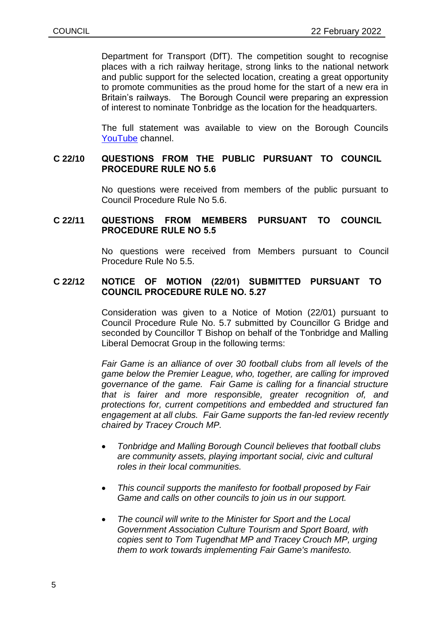Department for Transport (DfT). The competition sought to recognise places with a rich railway heritage, strong links to the national network and public support for the selected location, creating a great opportunity to promote communities as the proud home for the start of a new era in Britain's railways. The Borough Council were preparing an expression of interest to nominate Tonbridge as the location for the headquarters.

The full statement was available to view on the Borough Councils [YouTube](https://www.youtube.com/watch?v=8cUbkhXJ_Yo) channel.

### **C 22/10 QUESTIONS FROM THE PUBLIC PURSUANT TO COUNCIL PROCEDURE RULE NO 5.6**

No questions were received from members of the public pursuant to Council Procedure Rule No 5.6.

### **C 22/11 QUESTIONS FROM MEMBERS PURSUANT TO COUNCIL PROCEDURE RULE NO 5.5**

No questions were received from Members pursuant to Council Procedure Rule No 5.5.

### **C 22/12 NOTICE OF MOTION (22/01) SUBMITTED PURSUANT TO COUNCIL PROCEDURE RULE NO. 5.27**

Consideration was given to a Notice of Motion (22/01) pursuant to Council Procedure Rule No. 5.7 submitted by Councillor G Bridge and seconded by Councillor T Bishop on behalf of the Tonbridge and Malling Liberal Democrat Group in the following terms:

*Fair Game is an alliance of over 30 football clubs from all levels of the game below the Premier League, who, together, are calling for improved governance of the game. Fair Game is calling for a financial structure that is fairer and more responsible, greater recognition of, and protections for, current competitions and embedded and structured fan engagement at all clubs. Fair Game supports the fan-led review recently chaired by Tracey Crouch MP.*

- *Tonbridge and Malling Borough Council believes that football clubs are community assets, playing important social, civic and cultural roles in their local communities.*
- *This council supports the manifesto for football proposed by Fair Game and calls on other councils to join us in our support.*
- *The council will write to the Minister for Sport and the Local Government Association Culture Tourism and Sport Board, with copies sent to Tom Tugendhat MP and Tracey Crouch MP, urging them to work towards implementing Fair Game's manifesto.*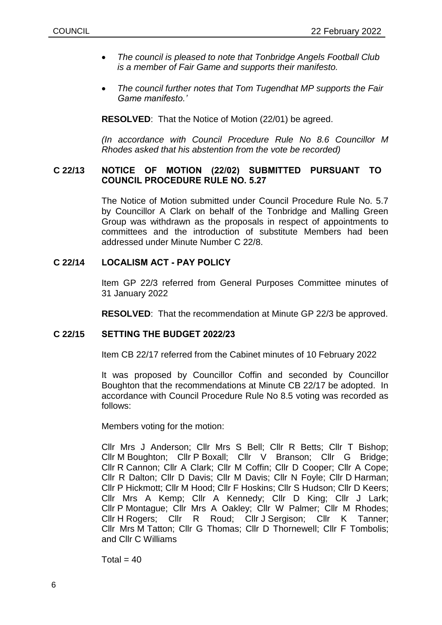- *The council is pleased to note that Tonbridge Angels Football Club is a member of Fair Game and supports their manifesto.*
- *The council further notes that Tom Tugendhat MP supports the Fair Game manifesto.'*

**RESOLVED**: That the Notice of Motion (22/01) be agreed.

*(In accordance with Council Procedure Rule No 8.6 Councillor M Rhodes asked that his abstention from the vote be recorded)*

# **C 22/13 NOTICE OF MOTION (22/02) SUBMITTED PURSUANT TO COUNCIL PROCEDURE RULE NO. 5.27**

The Notice of Motion submitted under Council Procedure Rule No. 5.7 by Councillor A Clark on behalf of the Tonbridge and Malling Green Group was withdrawn as the proposals in respect of appointments to committees and the introduction of substitute Members had been addressed under Minute Number C 22/8.

### **C 22/14 LOCALISM ACT - PAY POLICY**

Item GP 22/3 referred from General Purposes Committee minutes of 31 January 2022

**RESOLVED**: That the recommendation at Minute GP 22/3 be approved.

# **C 22/15 SETTING THE BUDGET 2022/23**

Item CB 22/17 referred from the Cabinet minutes of 10 February 2022

It was proposed by Councillor Coffin and seconded by Councillor Boughton that the recommendations at Minute CB 22/17 be adopted. In accordance with Council Procedure Rule No 8.5 voting was recorded as follows:

Members voting for the motion:

Cllr Mrs J Anderson; Cllr Mrs S Bell; Cllr R Betts; Cllr T Bishop; Cllr M Boughton; Cllr P Boxall; Cllr V Branson; Cllr G Bridge; Cllr R Cannon; Cllr A Clark; Cllr M Coffin; Cllr D Cooper; Cllr A Cope; Cllr R Dalton; Cllr D Davis; Cllr M Davis; Cllr N Foyle; Cllr D Harman; Cllr P Hickmott; Cllr M Hood; Cllr F Hoskins; Cllr S Hudson; Cllr D Keers; Cllr Mrs A Kemp; Cllr A Kennedy; Cllr D King; Cllr J Lark; Cllr P Montague; Cllr Mrs A Oakley; Cllr W Palmer; Cllr M Rhodes; Cllr H Rogers; Cllr R Roud; Cllr J Sergison; Cllr K Tanner; Cllr Mrs M Tatton; Cllr G Thomas; Cllr D Thornewell; Cllr F Tombolis; and Cllr C Williams

 $Total = 40$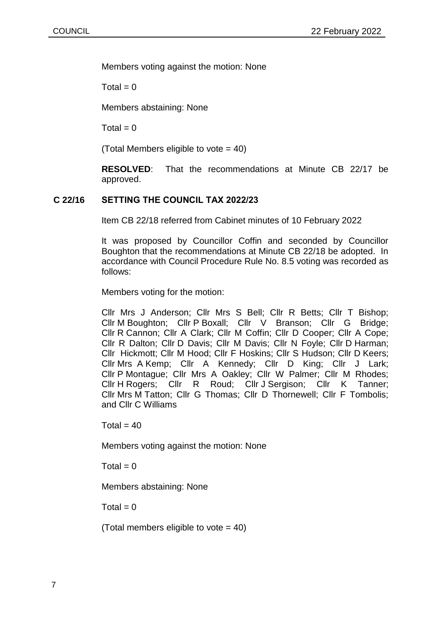Members voting against the motion: None

 $Total = 0$ 

Members abstaining: None

 $Total = 0$ 

(Total Members eligible to vote = 40)

**RESOLVED**: That the recommendations at Minute CB 22/17 be approved.

# **C 22/16 SETTING THE COUNCIL TAX 2022/23**

Item CB 22/18 referred from Cabinet minutes of 10 February 2022

It was proposed by Councillor Coffin and seconded by Councillor Boughton that the recommendations at Minute CB 22/18 be adopted. In accordance with Council Procedure Rule No. 8.5 voting was recorded as follows:

Members voting for the motion:

Cllr Mrs J Anderson; Cllr Mrs S Bell; Cllr R Betts; Cllr T Bishop; Cllr M Boughton; Cllr P Boxall; Cllr V Branson; Cllr G Bridge; Cllr R Cannon; Cllr A Clark; Cllr M Coffin; Cllr D Cooper; Cllr A Cope; Cllr R Dalton; Cllr D Davis; Cllr M Davis; Cllr N Foyle; Cllr D Harman; Cllr Hickmott; Cllr M Hood; Cllr F Hoskins; Cllr S Hudson; Cllr D Keers; Cllr Mrs A Kemp; Cllr A Kennedy; Cllr D King; Cllr J Lark; Cllr P Montague; Cllr Mrs A Oakley; Cllr W Palmer; Cllr M Rhodes; Cllr H Rogers; Cllr R Roud; Cllr J Sergison; Cllr K Tanner; Cllr Mrs M Tatton; Cllr G Thomas; Cllr D Thornewell; Cllr F Tombolis; and Cllr C Williams

 $Total = 40$ 

Members voting against the motion: None

 $Total = 0$ 

Members abstaining: None

 $Total = 0$ 

(Total members eligible to vote  $= 40$ )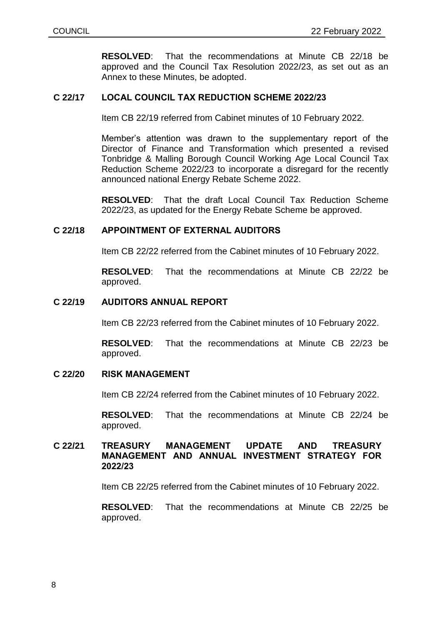**RESOLVED**: That the recommendations at Minute CB 22/18 be approved and the Council Tax Resolution 2022/23, as set out as an Annex to these Minutes, be adopted.

# **C 22/17 LOCAL COUNCIL TAX REDUCTION SCHEME 2022/23**

Item CB 22/19 referred from Cabinet minutes of 10 February 2022.

Member's attention was drawn to the supplementary report of the Director of Finance and Transformation which presented a revised Tonbridge & Malling Borough Council Working Age Local Council Tax Reduction Scheme 2022/23 to incorporate a disregard for the recently announced national Energy Rebate Scheme 2022.

**RESOLVED**: That the draft Local Council Tax Reduction Scheme 2022/23, as updated for the Energy Rebate Scheme be approved.

#### **C 22/18 APPOINTMENT OF EXTERNAL AUDITORS**

Item CB 22/22 referred from the Cabinet minutes of 10 February 2022.

**RESOLVED**: That the recommendations at Minute CB 22/22 be approved.

#### **C 22/19 AUDITORS ANNUAL REPORT**

Item CB 22/23 referred from the Cabinet minutes of 10 February 2022.

**RESOLVED**: That the recommendations at Minute CB 22/23 be approved.

# **C 22/20 RISK MANAGEMENT**

Item CB 22/24 referred from the Cabinet minutes of 10 February 2022.

**RESOLVED**: That the recommendations at Minute CB 22/24 be approved.

# **C 22/21 TREASURY MANAGEMENT UPDATE AND TREASURY MANAGEMENT AND ANNUAL INVESTMENT STRATEGY FOR 2022/23**

Item CB 22/25 referred from the Cabinet minutes of 10 February 2022.

**RESOLVED**: That the recommendations at Minute CB 22/25 be approved.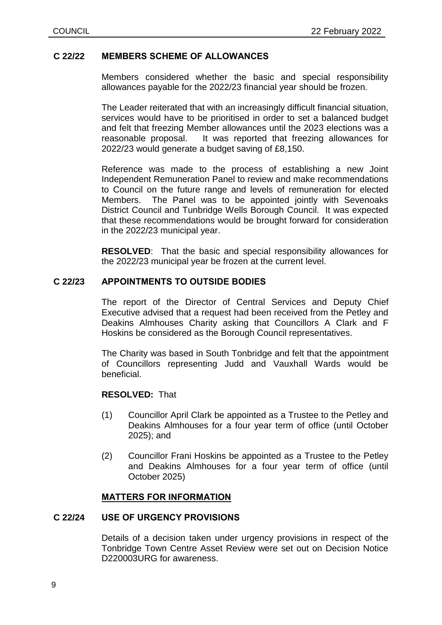### **C 22/22 MEMBERS SCHEME OF ALLOWANCES**

Members considered whether the basic and special responsibility allowances payable for the 2022/23 financial year should be frozen.

The Leader reiterated that with an increasingly difficult financial situation, services would have to be prioritised in order to set a balanced budget and felt that freezing Member allowances until the 2023 elections was a reasonable proposal. It was reported that freezing allowances for 2022/23 would generate a budget saving of £8,150.

Reference was made to the process of establishing a new Joint Independent Remuneration Panel to review and make recommendations to Council on the future range and levels of remuneration for elected Members. The Panel was to be appointed jointly with Sevenoaks District Council and Tunbridge Wells Borough Council. It was expected that these recommendations would be brought forward for consideration in the 2022/23 municipal year.

**RESOLVED**: That the basic and special responsibility allowances for the 2022/23 municipal year be frozen at the current level.

### **C 22/23 APPOINTMENTS TO OUTSIDE BODIES**

The report of the Director of Central Services and Deputy Chief Executive advised that a request had been received from the Petley and Deakins Almhouses Charity asking that Councillors A Clark and F Hoskins be considered as the Borough Council representatives.

The Charity was based in South Tonbridge and felt that the appointment of Councillors representing Judd and Vauxhall Wards would be beneficial.

# **RESOLVED:** That

- (1) Councillor April Clark be appointed as a Trustee to the Petley and Deakins Almhouses for a four year term of office (until October 2025); and
- (2) Councillor Frani Hoskins be appointed as a Trustee to the Petley and Deakins Almhouses for a four year term of office (until October 2025)

#### **MATTERS FOR INFORMATION**

### **C 22/24 USE OF URGENCY PROVISIONS**

Details of a decision taken under urgency provisions in respect of the Tonbridge Town Centre Asset Review were set out on Decision Notice D220003URG for awareness.